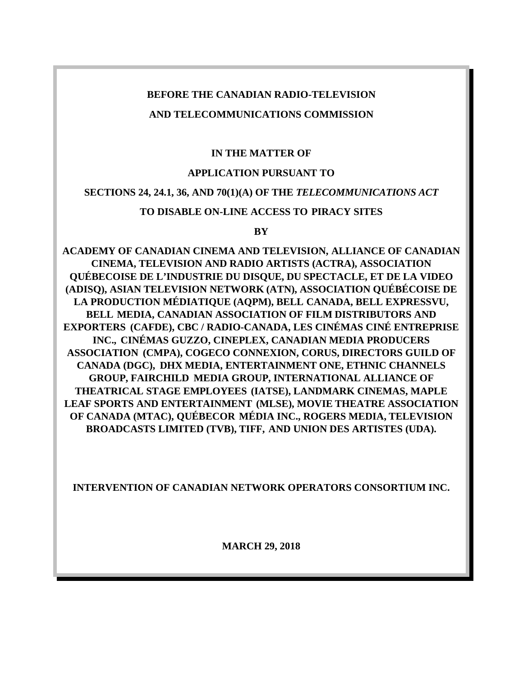### **BEFORE THE CANADIAN RADIO-TELEVISION**

## **AND TELECOMMUNICATIONS COMMISSION**

## **IN THE MATTER OF**

## **APPLICATION PURSUANT TO**

## **SECTIONS 24, 24.1, 36, AND 70(1)(A) OF THE** *TELECOMMUNICATIONS ACT*

## **TO DISABLE ON-LINE ACCESS TO PIRACY SITES**

### **BY**

**ACADEMY OF CANADIAN CINEMA AND TELEVISION, ALLIANCE OF CANADIAN CINEMA, TELEVISION AND RADIO ARTISTS (ACTRA), ASSOCIATION QUÉBECOISE DE L'INDUSTRIE DU DISQUE, DU SPECTACLE, ET DE LA VIDEO (ADISQ), ASIAN TELEVISION NETWORK (ATN), ASSOCIATION QUÉBÉCOISE DE LA PRODUCTION MÉDIATIQUE (AQPM), BELL CANADA, BELL EXPRESSVU, BELL MEDIA, CANADIAN ASSOCIATION OF FILM DISTRIBUTORS AND EXPORTERS (CAFDE), CBC / RADIO-CANADA, LES CINÉMAS CINÉ ENTREPRISE INC., CINÉMAS GUZZO, CINEPLEX, CANADIAN MEDIA PRODUCERS ASSOCIATION (CMPA), COGECO CONNEXION, CORUS, DIRECTORS GUILD OF CANADA (DGC), DHX MEDIA, ENTERTAINMENT ONE, ETHNIC CHANNELS GROUP, FAIRCHILD MEDIA GROUP, INTERNATIONAL ALLIANCE OF THEATRICAL STAGE EMPLOYEES (IATSE), LANDMARK CINEMAS, MAPLE LEAF SPORTS AND ENTERTAINMENT (MLSE), MOVIE THEATRE ASSOCIATION OF CANADA (MTAC), QUÉBECOR MÉDIA INC., ROGERS MEDIA, TELEVISION BROADCASTS LIMITED (TVB), TIFF, AND UNION DES ARTISTES (UDA).**

**INTERVENTION OF CANADIAN NETWORK OPERATORS CONSORTIUM INC.**

**MARCH 29, 2018**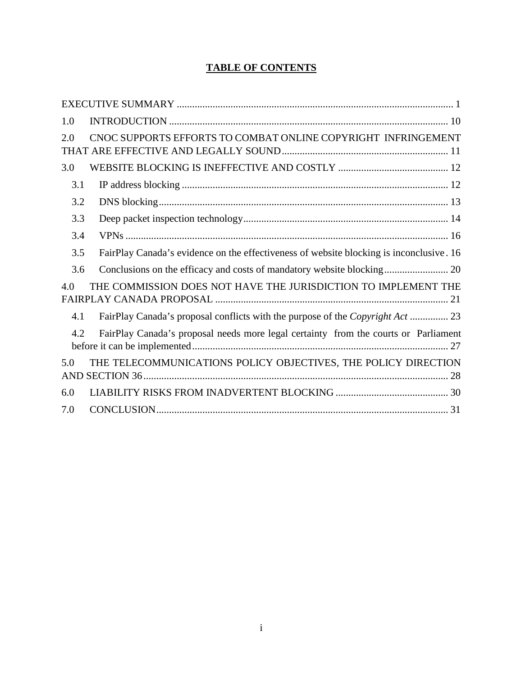# **TABLE OF CONTENTS**

| 1.0                                                                                            |
|------------------------------------------------------------------------------------------------|
| CNOC SUPPORTS EFFORTS TO COMBAT ONLINE COPYRIGHT INFRINGEMENT<br>2.0                           |
| 3.0                                                                                            |
| 3.1                                                                                            |
| 3.2                                                                                            |
| 3.3                                                                                            |
| 3.4                                                                                            |
| FairPlay Canada's evidence on the effectiveness of website blocking is inconclusive. 16<br>3.5 |
| 3.6                                                                                            |
| THE COMMISSION DOES NOT HAVE THE JURISDICTION TO IMPLEMENT THE<br>4.0                          |
| FairPlay Canada's proposal conflicts with the purpose of the <i>Copyright Act</i> 23<br>4.1    |
| FairPlay Canada's proposal needs more legal certainty from the courts or Parliament<br>4.2     |
| THE TELECOMMUNICATIONS POLICY OBJECTIVES, THE POLICY DIRECTION<br>5.0                          |
| 6.0                                                                                            |
| 7.0                                                                                            |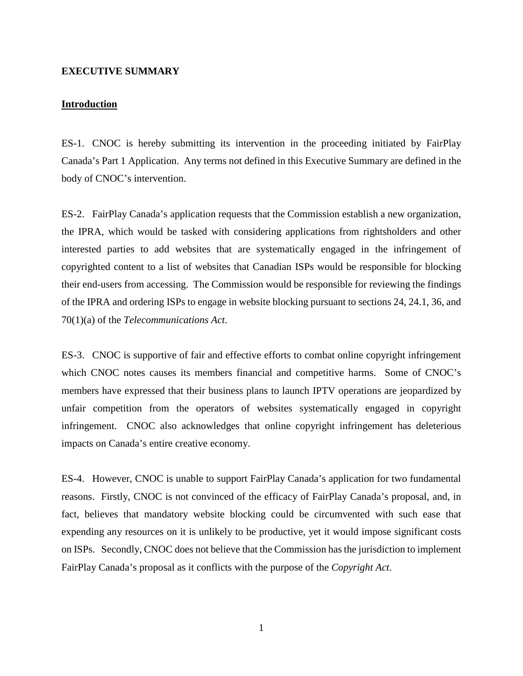#### <span id="page-2-0"></span>**EXECUTIVE SUMMARY**

#### **Introduction**

ES-1. CNOC is hereby submitting its intervention in the proceeding initiated by FairPlay Canada's Part 1 Application. Any terms not defined in this Executive Summary are defined in the body of CNOC's intervention.

ES-2. FairPlay Canada's application requests that the Commission establish a new organization, the IPRA, which would be tasked with considering applications from rightsholders and other interested parties to add websites that are systematically engaged in the infringement of copyrighted content to a list of websites that Canadian ISPs would be responsible for blocking their end-users from accessing. The Commission would be responsible for reviewing the findings of the IPRA and ordering ISPs to engage in website blocking pursuant to sections 24, 24.1, 36, and 70(1)(a) of the *Telecommunications Act*.

ES-3. CNOC is supportive of fair and effective efforts to combat online copyright infringement which CNOC notes causes its members financial and competitive harms. Some of CNOC's members have expressed that their business plans to launch IPTV operations are jeopardized by unfair competition from the operators of websites systematically engaged in copyright infringement. CNOC also acknowledges that online copyright infringement has deleterious impacts on Canada's entire creative economy.

ES-4. However, CNOC is unable to support FairPlay Canada's application for two fundamental reasons. Firstly, CNOC is not convinced of the efficacy of FairPlay Canada's proposal, and, in fact, believes that mandatory website blocking could be circumvented with such ease that expending any resources on it is unlikely to be productive, yet it would impose significant costs on ISPs. Secondly, CNOC does not believe that the Commission has the jurisdiction to implement FairPlay Canada's proposal as it conflicts with the purpose of the *Copyright Act*.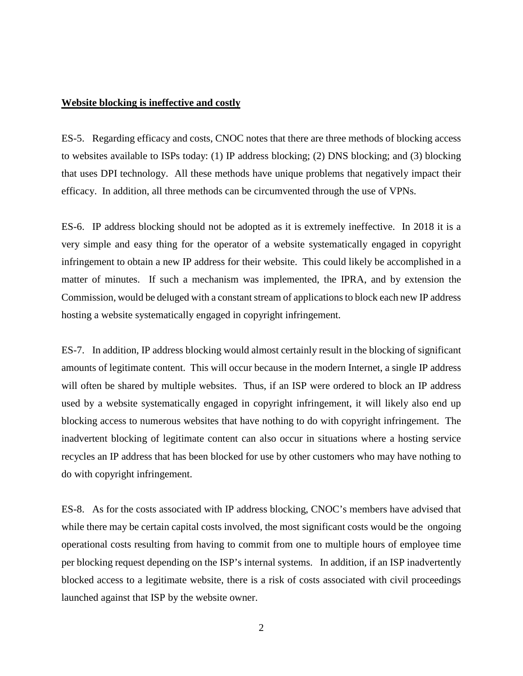#### **Website blocking is ineffective and costly**

ES-5. Regarding efficacy and costs, CNOC notes that there are three methods of blocking access to websites available to ISPs today: (1) IP address blocking; (2) DNS blocking; and (3) blocking that uses DPI technology. All these methods have unique problems that negatively impact their efficacy. In addition, all three methods can be circumvented through the use of VPNs.

ES-6. IP address blocking should not be adopted as it is extremely ineffective. In 2018 it is a very simple and easy thing for the operator of a website systematically engaged in copyright infringement to obtain a new IP address for their website. This could likely be accomplished in a matter of minutes. If such a mechanism was implemented, the IPRA, and by extension the Commission, would be deluged with a constant stream of applications to block each new IP address hosting a website systematically engaged in copyright infringement.

ES-7. In addition, IP address blocking would almost certainly result in the blocking of significant amounts of legitimate content. This will occur because in the modern Internet, a single IP address will often be shared by multiple websites. Thus, if an ISP were ordered to block an IP address used by a website systematically engaged in copyright infringement, it will likely also end up blocking access to numerous websites that have nothing to do with copyright infringement. The inadvertent blocking of legitimate content can also occur in situations where a hosting service recycles an IP address that has been blocked for use by other customers who may have nothing to do with copyright infringement.

ES-8. As for the costs associated with IP address blocking, CNOC's members have advised that while there may be certain capital costs involved, the most significant costs would be the ongoing operational costs resulting from having to commit from one to multiple hours of employee time per blocking request depending on the ISP's internal systems. In addition, if an ISP inadvertently blocked access to a legitimate website, there is a risk of costs associated with civil proceedings launched against that ISP by the website owner.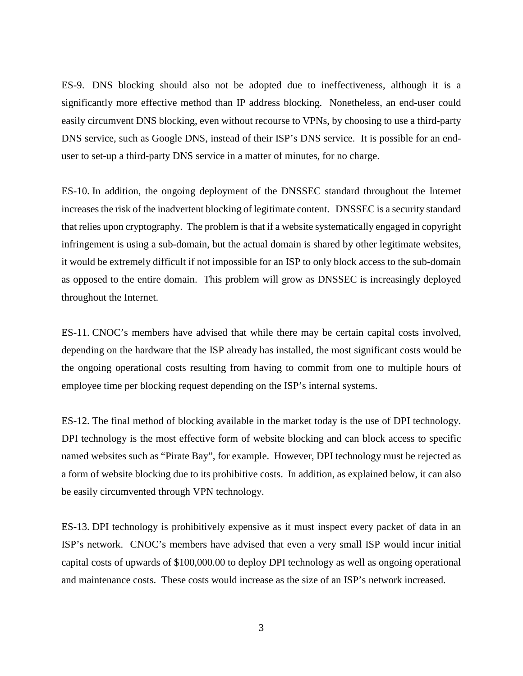ES-9. DNS blocking should also not be adopted due to ineffectiveness, although it is a significantly more effective method than IP address blocking. Nonetheless, an end-user could easily circumvent DNS blocking, even without recourse to VPNs, by choosing to use a third-party DNS service, such as Google DNS, instead of their ISP's DNS service. It is possible for an enduser to set-up a third-party DNS service in a matter of minutes, for no charge.

ES-10. In addition, the ongoing deployment of the DNSSEC standard throughout the Internet increases the risk of the inadvertent blocking of legitimate content. DNSSEC is a security standard that relies upon cryptography. The problem is that if a website systematically engaged in copyright infringement is using a sub-domain, but the actual domain is shared by other legitimate websites, it would be extremely difficult if not impossible for an ISP to only block access to the sub-domain as opposed to the entire domain. This problem will grow as DNSSEC is increasingly deployed throughout the Internet.

ES-11. CNOC's members have advised that while there may be certain capital costs involved, depending on the hardware that the ISP already has installed, the most significant costs would be the ongoing operational costs resulting from having to commit from one to multiple hours of employee time per blocking request depending on the ISP's internal systems.

ES-12. The final method of blocking available in the market today is the use of DPI technology. DPI technology is the most effective form of website blocking and can block access to specific named websites such as "Pirate Bay", for example. However, DPI technology must be rejected as a form of website blocking due to its prohibitive costs. In addition, as explained below, it can also be easily circumvented through VPN technology.

ES-13. DPI technology is prohibitively expensive as it must inspect every packet of data in an ISP's network. CNOC's members have advised that even a very small ISP would incur initial capital costs of upwards of \$100,000.00 to deploy DPI technology as well as ongoing operational and maintenance costs. These costs would increase as the size of an ISP's network increased.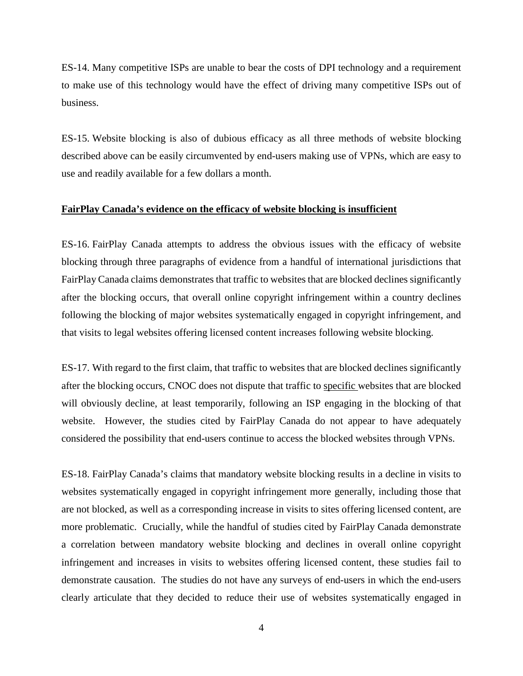ES-14. Many competitive ISPs are unable to bear the costs of DPI technology and a requirement to make use of this technology would have the effect of driving many competitive ISPs out of business.

ES-15. Website blocking is also of dubious efficacy as all three methods of website blocking described above can be easily circumvented by end-users making use of VPNs, which are easy to use and readily available for a few dollars a month.

#### **FairPlay Canada's evidence on the efficacy of website blocking is insufficient**

ES-16. FairPlay Canada attempts to address the obvious issues with the efficacy of website blocking through three paragraphs of evidence from a handful of international jurisdictions that FairPlay Canada claims demonstrates that traffic to websites that are blocked declines significantly after the blocking occurs, that overall online copyright infringement within a country declines following the blocking of major websites systematically engaged in copyright infringement, and that visits to legal websites offering licensed content increases following website blocking.

ES-17. With regard to the first claim, that traffic to websites that are blocked declines significantly after the blocking occurs, CNOC does not dispute that traffic to specific websites that are blocked will obviously decline, at least temporarily, following an ISP engaging in the blocking of that website. However, the studies cited by FairPlay Canada do not appear to have adequately considered the possibility that end-users continue to access the blocked websites through VPNs.

ES-18. FairPlay Canada's claims that mandatory website blocking results in a decline in visits to websites systematically engaged in copyright infringement more generally, including those that are not blocked, as well as a corresponding increase in visits to sites offering licensed content, are more problematic. Crucially, while the handful of studies cited by FairPlay Canada demonstrate a correlation between mandatory website blocking and declines in overall online copyright infringement and increases in visits to websites offering licensed content, these studies fail to demonstrate causation. The studies do not have any surveys of end-users in which the end-users clearly articulate that they decided to reduce their use of websites systematically engaged in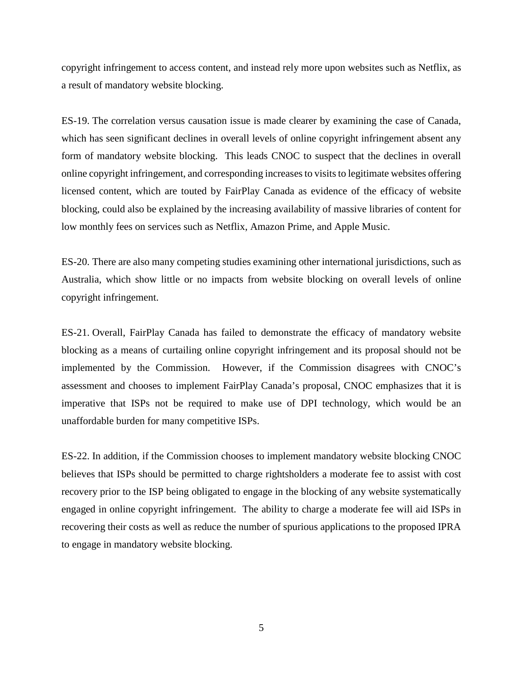copyright infringement to access content, and instead rely more upon websites such as Netflix, as a result of mandatory website blocking.

ES-19. The correlation versus causation issue is made clearer by examining the case of Canada, which has seen significant declines in overall levels of online copyright infringement absent any form of mandatory website blocking. This leads CNOC to suspect that the declines in overall online copyright infringement, and corresponding increases to visits to legitimate websites offering licensed content, which are touted by FairPlay Canada as evidence of the efficacy of website blocking, could also be explained by the increasing availability of massive libraries of content for low monthly fees on services such as Netflix, Amazon Prime, and Apple Music.

ES-20. There are also many competing studies examining other international jurisdictions, such as Australia, which show little or no impacts from website blocking on overall levels of online copyright infringement.

ES-21. Overall, FairPlay Canada has failed to demonstrate the efficacy of mandatory website blocking as a means of curtailing online copyright infringement and its proposal should not be implemented by the Commission. However, if the Commission disagrees with CNOC's assessment and chooses to implement FairPlay Canada's proposal, CNOC emphasizes that it is imperative that ISPs not be required to make use of DPI technology, which would be an unaffordable burden for many competitive ISPs.

ES-22. In addition, if the Commission chooses to implement mandatory website blocking CNOC believes that ISPs should be permitted to charge rightsholders a moderate fee to assist with cost recovery prior to the ISP being obligated to engage in the blocking of any website systematically engaged in online copyright infringement. The ability to charge a moderate fee will aid ISPs in recovering their costs as well as reduce the number of spurious applications to the proposed IPRA to engage in mandatory website blocking.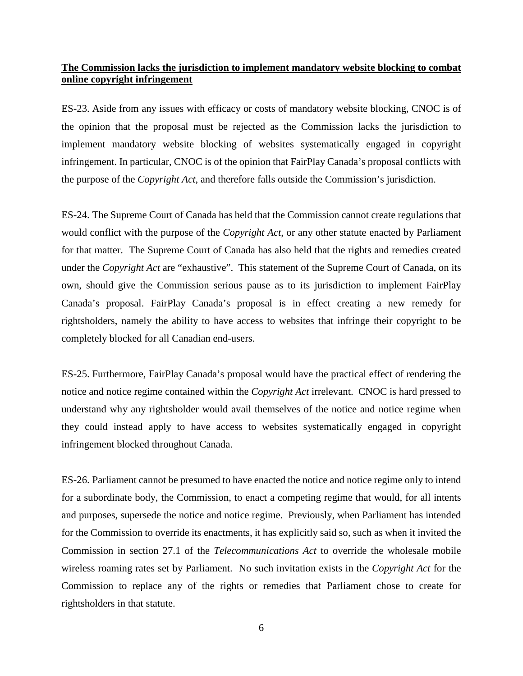### **The Commission lacks the jurisdiction to implement mandatory website blocking to combat online copyright infringement**

ES-23. Aside from any issues with efficacy or costs of mandatory website blocking, CNOC is of the opinion that the proposal must be rejected as the Commission lacks the jurisdiction to implement mandatory website blocking of websites systematically engaged in copyright infringement. In particular, CNOC is of the opinion that FairPlay Canada's proposal conflicts with the purpose of the *Copyright Act*, and therefore falls outside the Commission's jurisdiction.

ES-24. The Supreme Court of Canada has held that the Commission cannot create regulations that would conflict with the purpose of the *Copyright Act*, or any other statute enacted by Parliament for that matter. The Supreme Court of Canada has also held that the rights and remedies created under the *Copyright Act* are "exhaustive". This statement of the Supreme Court of Canada, on its own, should give the Commission serious pause as to its jurisdiction to implement FairPlay Canada's proposal. FairPlay Canada's proposal is in effect creating a new remedy for rightsholders, namely the ability to have access to websites that infringe their copyright to be completely blocked for all Canadian end-users.

ES-25. Furthermore, FairPlay Canada's proposal would have the practical effect of rendering the notice and notice regime contained within the *Copyright Act* irrelevant. CNOC is hard pressed to understand why any rightsholder would avail themselves of the notice and notice regime when they could instead apply to have access to websites systematically engaged in copyright infringement blocked throughout Canada.

ES-26. Parliament cannot be presumed to have enacted the notice and notice regime only to intend for a subordinate body, the Commission, to enact a competing regime that would, for all intents and purposes, supersede the notice and notice regime. Previously, when Parliament has intended for the Commission to override its enactments, it has explicitly said so, such as when it invited the Commission in section 27.1 of the *Telecommunications Act* to override the wholesale mobile wireless roaming rates set by Parliament. No such invitation exists in the *Copyright Act* for the Commission to replace any of the rights or remedies that Parliament chose to create for rightsholders in that statute.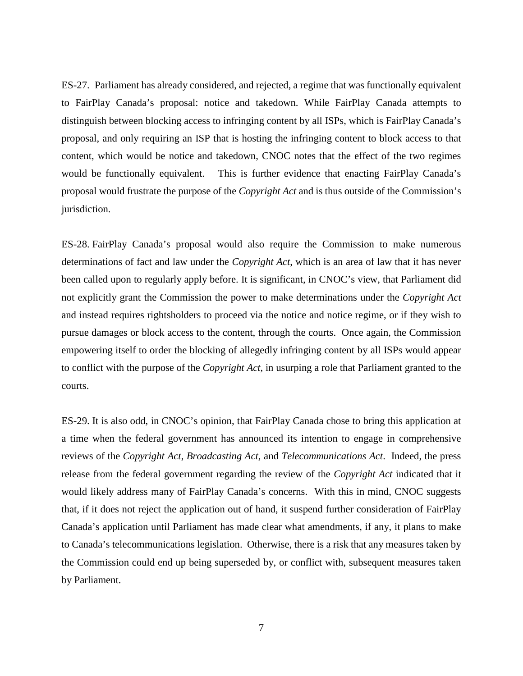ES-27. Parliament has already considered, and rejected, a regime that was functionally equivalent to FairPlay Canada's proposal: notice and takedown. While FairPlay Canada attempts to distinguish between blocking access to infringing content by all ISPs, which is FairPlay Canada's proposal, and only requiring an ISP that is hosting the infringing content to block access to that content, which would be notice and takedown, CNOC notes that the effect of the two regimes would be functionally equivalent. This is further evidence that enacting FairPlay Canada's proposal would frustrate the purpose of the *Copyright Act* and is thus outside of the Commission's jurisdiction.

ES-28. FairPlay Canada's proposal would also require the Commission to make numerous determinations of fact and law under the *Copyright Act*, which is an area of law that it has never been called upon to regularly apply before. It is significant, in CNOC's view, that Parliament did not explicitly grant the Commission the power to make determinations under the *Copyright Act*  and instead requires rightsholders to proceed via the notice and notice regime, or if they wish to pursue damages or block access to the content, through the courts. Once again, the Commission empowering itself to order the blocking of allegedly infringing content by all ISPs would appear to conflict with the purpose of the *Copyright Act*, in usurping a role that Parliament granted to the courts.

ES-29. It is also odd, in CNOC's opinion, that FairPlay Canada chose to bring this application at a time when the federal government has announced its intention to engage in comprehensive reviews of the *Copyright Act*, *Broadcasting Act*, and *Telecommunications Act*. Indeed, the press release from the federal government regarding the review of the *Copyright Act* indicated that it would likely address many of FairPlay Canada's concerns. With this in mind, CNOC suggests that, if it does not reject the application out of hand, it suspend further consideration of FairPlay Canada's application until Parliament has made clear what amendments, if any, it plans to make to Canada's telecommunications legislation. Otherwise, there is a risk that any measures taken by the Commission could end up being superseded by, or conflict with, subsequent measures taken by Parliament.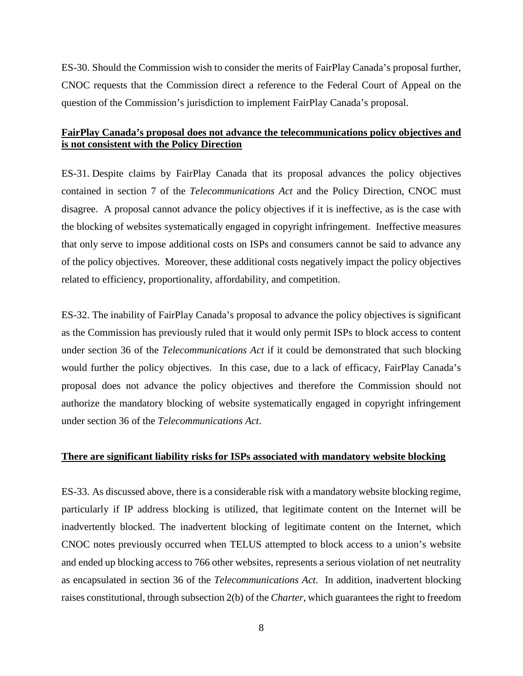ES-30. Should the Commission wish to consider the merits of FairPlay Canada's proposal further, CNOC requests that the Commission direct a reference to the Federal Court of Appeal on the question of the Commission's jurisdiction to implement FairPlay Canada's proposal.

### **FairPlay Canada's proposal does not advance the telecommunications policy objectives and is not consistent with the Policy Direction**

ES-31. Despite claims by FairPlay Canada that its proposal advances the policy objectives contained in section 7 of the *Telecommunications Act* and the Policy Direction, CNOC must disagree. A proposal cannot advance the policy objectives if it is ineffective, as is the case with the blocking of websites systematically engaged in copyright infringement. Ineffective measures that only serve to impose additional costs on ISPs and consumers cannot be said to advance any of the policy objectives. Moreover, these additional costs negatively impact the policy objectives related to efficiency, proportionality, affordability, and competition.

ES-32. The inability of FairPlay Canada's proposal to advance the policy objectives is significant as the Commission has previously ruled that it would only permit ISPs to block access to content under section 36 of the *Telecommunications Act* if it could be demonstrated that such blocking would further the policy objectives. In this case, due to a lack of efficacy, FairPlay Canada's proposal does not advance the policy objectives and therefore the Commission should not authorize the mandatory blocking of website systematically engaged in copyright infringement under section 36 of the *Telecommunications Act*.

### **There are significant liability risks for ISPs associated with mandatory website blocking**

ES-33. As discussed above, there is a considerable risk with a mandatory website blocking regime, particularly if IP address blocking is utilized, that legitimate content on the Internet will be inadvertently blocked. The inadvertent blocking of legitimate content on the Internet, which CNOC notes previously occurred when TELUS attempted to block access to a union's website and ended up blocking access to 766 other websites, represents a serious violation of net neutrality as encapsulated in section 36 of the *Telecommunications Act*. In addition, inadvertent blocking raises constitutional, through subsection 2(b) of the *Charter*, which guarantees the right to freedom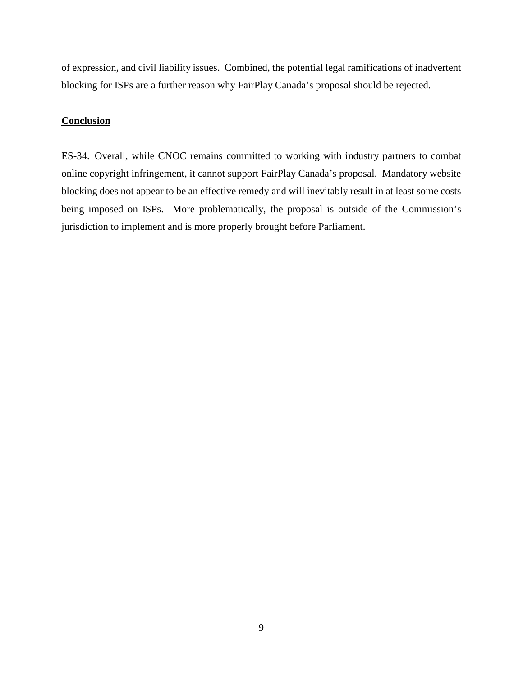of expression, and civil liability issues. Combined, the potential legal ramifications of inadvertent blocking for ISPs are a further reason why FairPlay Canada's proposal should be rejected.

#### **Conclusion**

ES-34. Overall, while CNOC remains committed to working with industry partners to combat online copyright infringement, it cannot support FairPlay Canada's proposal. Mandatory website blocking does not appear to be an effective remedy and will inevitably result in at least some costs being imposed on ISPs. More problematically, the proposal is outside of the Commission's jurisdiction to implement and is more properly brought before Parliament.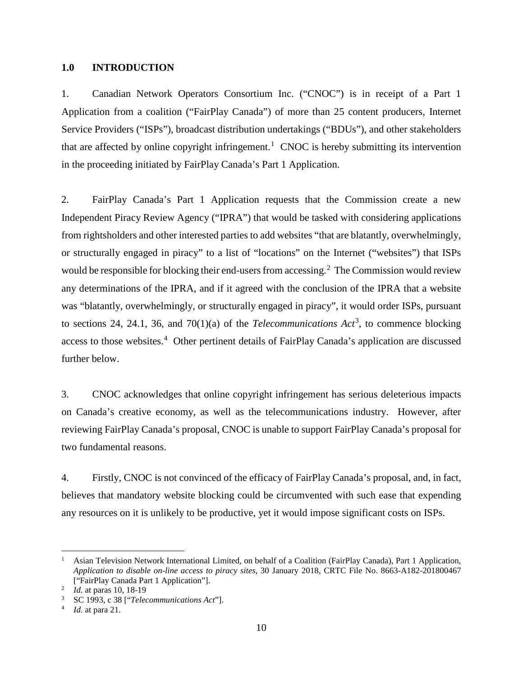#### <span id="page-11-0"></span>**1.0 INTRODUCTION**

1. Canadian Network Operators Consortium Inc. ("CNOC") is in receipt of a Part 1 Application from a coalition ("FairPlay Canada") of more than 25 content producers, Internet Service Providers ("ISPs"), broadcast distribution undertakings ("BDUs"), and other stakeholders that are affected by online copyright infringement. [1](#page-11-1) CNOC is hereby submitting its intervention in the proceeding initiated by FairPlay Canada's Part 1 Application.

2. FairPlay Canada's Part 1 Application requests that the Commission create a new Independent Piracy Review Agency ("IPRA") that would be tasked with considering applications from rightsholders and other interested parties to add websites "that are blatantly, overwhelmingly, or structurally engaged in piracy" to a list of "locations" on the Internet ("websites") that ISPs would be responsible for blocking their end-users from accessing. [2](#page-11-2) The Commission would review any determinations of the IPRA, and if it agreed with the conclusion of the IPRA that a website was "blatantly, overwhelmingly, or structurally engaged in piracy", it would order ISPs, pursuant to sections 24, 24.1, [3](#page-11-3)6, and  $70(1)(a)$  of the *Telecommunications Act*<sup>3</sup>, to commence blocking access to those websites.<sup>[4](#page-11-4)</sup> Other pertinent details of FairPlay Canada's application are discussed further below.

3. CNOC acknowledges that online copyright infringement has serious deleterious impacts on Canada's creative economy, as well as the telecommunications industry. However, after reviewing FairPlay Canada's proposal, CNOC is unable to support FairPlay Canada's proposal for two fundamental reasons.

4. Firstly, CNOC is not convinced of the efficacy of FairPlay Canada's proposal, and, in fact, believes that mandatory website blocking could be circumvented with such ease that expending any resources on it is unlikely to be productive, yet it would impose significant costs on ISPs.

<span id="page-11-1"></span> <sup>1</sup> Asian Television Network International Limited, on behalf of a Coalition (FairPlay Canada), Part 1 Application, *Application to disable on-line access to piracy sites*, 30 January 2018, CRTC File No. 8663-A182-201800467 ["FairPlay Canada Part 1 Application"]. 2 *Id.* at paras 10, 18-19

<span id="page-11-2"></span>

<span id="page-11-4"></span><span id="page-11-3"></span><sup>3</sup> SC 1993, c 38 ["*Telecommunications Act*"]. 4 *Id.* at para 21.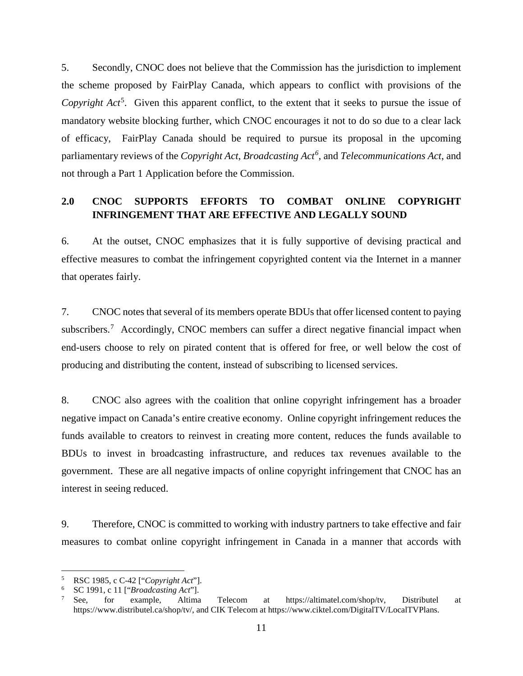5. Secondly, CNOC does not believe that the Commission has the jurisdiction to implement the scheme proposed by FairPlay Canada, which appears to conflict with provisions of the Copyright Act<sup>[5](#page-12-1)</sup>. Given this apparent conflict, to the extent that it seeks to pursue the issue of mandatory website blocking further, which CNOC encourages it not to do so due to a clear lack of efficacy, FairPlay Canada should be required to pursue its proposal in the upcoming parliamentary reviews of the *Copyright Act*, *Broadcasting Act[6](#page-12-2)* , and *Telecommunications Act*, and not through a Part 1 Application before the Commission.

## <span id="page-12-0"></span>**2.0 CNOC SUPPORTS EFFORTS TO COMBAT ONLINE COPYRIGHT INFRINGEMENT THAT ARE EFFECTIVE AND LEGALLY SOUND**

6. At the outset, CNOC emphasizes that it is fully supportive of devising practical and effective measures to combat the infringement copyrighted content via the Internet in a manner that operates fairly.

7. CNOC notes that several of its members operate BDUs that offer licensed content to paying subscribers.<sup>[7](#page-12-3)</sup> Accordingly, CNOC members can suffer a direct negative financial impact when end-users choose to rely on pirated content that is offered for free, or well below the cost of producing and distributing the content, instead of subscribing to licensed services.

8. CNOC also agrees with the coalition that online copyright infringement has a broader negative impact on Canada's entire creative economy. Online copyright infringement reduces the funds available to creators to reinvest in creating more content, reduces the funds available to BDUs to invest in broadcasting infrastructure, and reduces tax revenues available to the government. These are all negative impacts of online copyright infringement that CNOC has an interest in seeing reduced.

9. Therefore, CNOC is committed to working with industry partners to take effective and fair measures to combat online copyright infringement in Canada in a manner that accords with

<span id="page-12-1"></span>

<span id="page-12-3"></span><span id="page-12-2"></span>

<sup>5</sup> RSC 1985, c C-42 ["*Copyright Act*"]. 6 SC 1991, c 11 ["*Broadcasting Act*"]. 7 See, for example, Altima Telecom at https://altimatel.com/shop/tv, Distributel at https://www.distributel.ca/shop/tv/, and CIK Telecom at https://www.ciktel.com/DigitalTV/LocalTVPlans.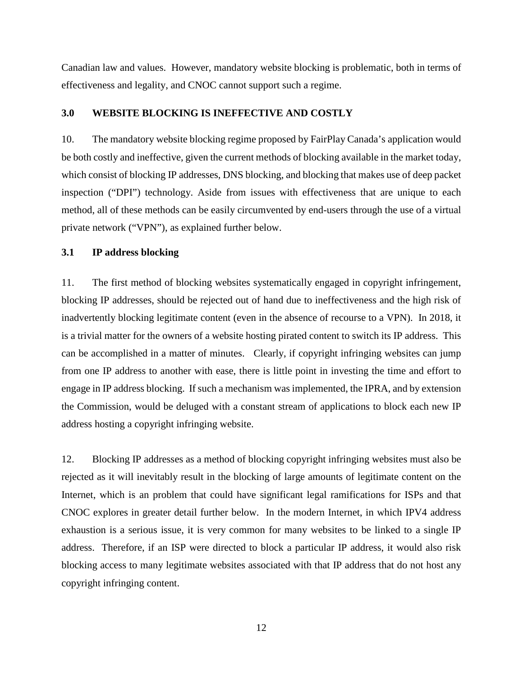Canadian law and values. However, mandatory website blocking is problematic, both in terms of effectiveness and legality, and CNOC cannot support such a regime.

### <span id="page-13-0"></span>**3.0 WEBSITE BLOCKING IS INEFFECTIVE AND COSTLY**

10. The mandatory website blocking regime proposed by FairPlay Canada's application would be both costly and ineffective, given the current methods of blocking available in the market today, which consist of blocking IP addresses, DNS blocking, and blocking that makes use of deep packet inspection ("DPI") technology. Aside from issues with effectiveness that are unique to each method, all of these methods can be easily circumvented by end-users through the use of a virtual private network ("VPN"), as explained further below.

#### <span id="page-13-1"></span>**3.1 IP address blocking**

11. The first method of blocking websites systematically engaged in copyright infringement, blocking IP addresses, should be rejected out of hand due to ineffectiveness and the high risk of inadvertently blocking legitimate content (even in the absence of recourse to a VPN). In 2018, it is a trivial matter for the owners of a website hosting pirated content to switch its IP address. This can be accomplished in a matter of minutes. Clearly, if copyright infringing websites can jump from one IP address to another with ease, there is little point in investing the time and effort to engage in IP address blocking. If such a mechanism was implemented, the IPRA, and by extension the Commission, would be deluged with a constant stream of applications to block each new IP address hosting a copyright infringing website.

12. Blocking IP addresses as a method of blocking copyright infringing websites must also be rejected as it will inevitably result in the blocking of large amounts of legitimate content on the Internet, which is an problem that could have significant legal ramifications for ISPs and that CNOC explores in greater detail further below. In the modern Internet, in which IPV4 address exhaustion is a serious issue, it is very common for many websites to be linked to a single IP address. Therefore, if an ISP were directed to block a particular IP address, it would also risk blocking access to many legitimate websites associated with that IP address that do not host any copyright infringing content.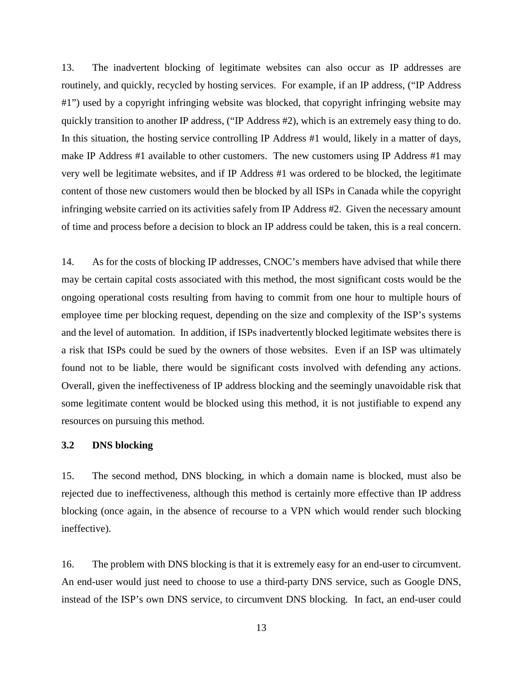13. The inadvertent blocking of legitimate websites can also occur as IP addresses are routinely, and quickly, recycled by hosting services. For example, if an IP address, ("IP Address #1") used by a copyright infringing website was blocked, that copyright infringing website may quickly transition to another IP address, ("IP Address #2), which is an extremely easy thing to do. In this situation, the hosting service controlling IP Address #1 would, likely in a matter of days, make IP Address #1 available to other customers. The new customers using IP Address #1 may very well be legitimate websites, and if IP Address #1 was ordered to be blocked, the legitimate content of those new customers would then be blocked by all ISPs in Canada while the copyright infringing website carried on its activities safely from IP Address #2. Given the necessary amount of time and process before a decision to block an IP address could be taken, this is a real concern.

14. As for the costs of blocking IP addresses, CNOC's members have advised that while there may be certain capital costs associated with this method, the most significant costs would be the ongoing operational costs resulting from having to commit from one hour to multiple hours of employee time per blocking request, depending on the size and complexity of the ISP's systems and the level of automation. In addition, if ISPs inadvertently blocked legitimate websites there is a risk that ISPs could be sued by the owners of those websites. Even if an ISP was ultimately found not to be liable, there would be significant costs involved with defending any actions. Overall, given the ineffectiveness of IP address blocking and the seemingly unavoidable risk that some legitimate content would be blocked using this method, it is not justifiable to expend any resources on pursuing this method.

#### <span id="page-14-0"></span>**3.2 DNS blocking**

15. The second method, DNS blocking, in which a domain name is blocked, must also be rejected due to ineffectiveness, although this method is certainly more effective than IP address blocking (once again, in the absence of recourse to a VPN which would render such blocking ineffective).

16. The problem with DNS blocking is that it is extremely easy for an end-user to circumvent. An end-user would just need to choose to use a third-party DNS service, such as Google DNS, instead of the ISP's own DNS service, to circumvent DNS blocking. In fact, an end-user could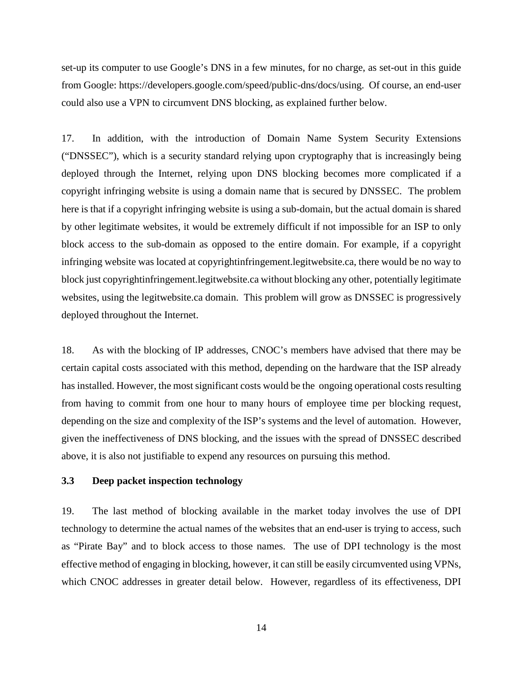set-up its computer to use Google's DNS in a few minutes, for no charge, as set-out in this guide from Google: https://developers.google.com/speed/public-dns/docs/using. Of course, an end-user could also use a VPN to circumvent DNS blocking, as explained further below.

17. In addition, with the introduction of Domain Name System Security Extensions ("DNSSEC"), which is a security standard relying upon cryptography that is increasingly being deployed through the Internet, relying upon DNS blocking becomes more complicated if a copyright infringing website is using a domain name that is secured by DNSSEC. The problem here is that if a copyright infringing website is using a sub-domain, but the actual domain is shared by other legitimate websites, it would be extremely difficult if not impossible for an ISP to only block access to the sub-domain as opposed to the entire domain. For example, if a copyright infringing website was located at copyrightinfringement.legitwebsite.ca, there would be no way to block just copyrightinfringement.legitwebsite.ca without blocking any other, potentially legitimate websites, using the legitwebsite.ca domain. This problem will grow as DNSSEC is progressively deployed throughout the Internet.

18. As with the blocking of IP addresses, CNOC's members have advised that there may be certain capital costs associated with this method, depending on the hardware that the ISP already has installed. However, the most significant costs would be the ongoing operational costs resulting from having to commit from one hour to many hours of employee time per blocking request, depending on the size and complexity of the ISP's systems and the level of automation. However, given the ineffectiveness of DNS blocking, and the issues with the spread of DNSSEC described above, it is also not justifiable to expend any resources on pursuing this method.

#### <span id="page-15-0"></span>**3.3 Deep packet inspection technology**

19. The last method of blocking available in the market today involves the use of DPI technology to determine the actual names of the websites that an end-user is trying to access, such as "Pirate Bay" and to block access to those names. The use of DPI technology is the most effective method of engaging in blocking, however, it can still be easily circumvented using VPNs, which CNOC addresses in greater detail below. However, regardless of its effectiveness, DPI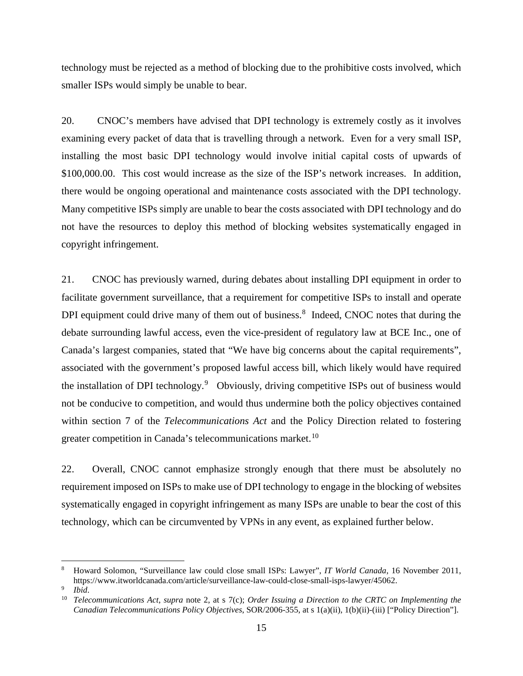technology must be rejected as a method of blocking due to the prohibitive costs involved, which smaller ISPs would simply be unable to bear.

20. CNOC's members have advised that DPI technology is extremely costly as it involves examining every packet of data that is travelling through a network. Even for a very small ISP, installing the most basic DPI technology would involve initial capital costs of upwards of \$100,000.00. This cost would increase as the size of the ISP's network increases. In addition, there would be ongoing operational and maintenance costs associated with the DPI technology. Many competitive ISPs simply are unable to bear the costs associated with DPI technology and do not have the resources to deploy this method of blocking websites systematically engaged in copyright infringement.

21. CNOC has previously warned, during debates about installing DPI equipment in order to facilitate government surveillance, that a requirement for competitive ISPs to install and operate DPI equipment could drive many of them out of business.<sup>[8](#page-16-0)</sup> Indeed, CNOC notes that during the debate surrounding lawful access, even the vice-president of regulatory law at BCE Inc., one of Canada's largest companies, stated that "We have big concerns about the capital requirements", associated with the government's proposed lawful access bill, which likely would have required the installation of DPI technology.<sup>[9](#page-16-1)</sup> Obviously, driving competitive ISPs out of business would not be conducive to competition, and would thus undermine both the policy objectives contained within section 7 of the *Telecommunications Act* and the Policy Direction related to fostering greater competition in Canada's telecommunications market.[10](#page-16-2)

22. Overall, CNOC cannot emphasize strongly enough that there must be absolutely no requirement imposed on ISPs to make use of DPI technology to engage in the blocking of websites systematically engaged in copyright infringement as many ISPs are unable to bear the cost of this technology, which can be circumvented by VPNs in any event, as explained further below.

<span id="page-16-0"></span> <sup>8</sup> Howard Solomon, "Surveillance law could close small ISPs: Lawyer", *IT World Canada*, 16 November 2011, https://www.itworldcanada.com/article/surveillance-law-could-close-small-isps-lawyer/45062.

<span id="page-16-2"></span><span id="page-16-1"></span> $\frac{9}{10}$  *Ibid.* 

<sup>10</sup> *Telecommunications Act*, *supra* note 2, at s 7(c); *Order Issuing a Direction to the CRTC on Implementing the Canadian Telecommunications Policy Objectives*, SOR/2006-355, at s 1(a)(ii), 1(b)(ii)-(iii) ["Policy Direction"].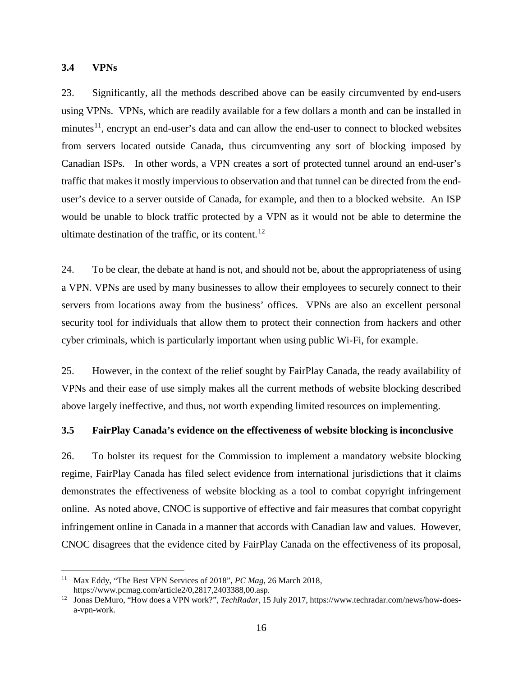#### <span id="page-17-0"></span>**3.4 VPNs**

23. Significantly, all the methods described above can be easily circumvented by end-users using VPNs. VPNs, which are readily available for a few dollars a month and can be installed in minutes $11$ , encrypt an end-user's data and can allow the end-user to connect to blocked websites from servers located outside Canada, thus circumventing any sort of blocking imposed by Canadian ISPs. In other words, a VPN creates a sort of protected tunnel around an end-user's traffic that makes it mostly impervious to observation and that tunnel can be directed from the enduser's device to a server outside of Canada, for example, and then to a blocked website. An ISP would be unable to block traffic protected by a VPN as it would not be able to determine the ultimate destination of the traffic, or its content.<sup>[12](#page-17-3)</sup>

24. To be clear, the debate at hand is not, and should not be, about the appropriateness of using a VPN. VPNs are used by many businesses to allow their employees to securely connect to their servers from locations away from the business' offices. VPNs are also an excellent personal security tool for individuals that allow them to protect their connection from hackers and other cyber criminals, which is particularly important when using public Wi-Fi, for example.

25. However, in the context of the relief sought by FairPlay Canada, the ready availability of VPNs and their ease of use simply makes all the current methods of website blocking described above largely ineffective, and thus, not worth expending limited resources on implementing.

#### <span id="page-17-1"></span>**3.5 FairPlay Canada's evidence on the effectiveness of website blocking is inconclusive**

26. To bolster its request for the Commission to implement a mandatory website blocking regime, FairPlay Canada has filed select evidence from international jurisdictions that it claims demonstrates the effectiveness of website blocking as a tool to combat copyright infringement online. As noted above, CNOC is supportive of effective and fair measures that combat copyright infringement online in Canada in a manner that accords with Canadian law and values. However, CNOC disagrees that the evidence cited by FairPlay Canada on the effectiveness of its proposal,

<span id="page-17-2"></span> <sup>11</sup> Max Eddy, "The Best VPN Services of 2018", *PC Mag*, 26 March 2018,

<span id="page-17-3"></span>https://www.pcmag.com/article2/0,2817,2403388,00.asp.<br><sup>12</sup> Jonas DeMuro, "How does a VPN work?", *TechRadar*, 15 July 2017, https://www.techradar.com/news/how-doesa-vpn-work.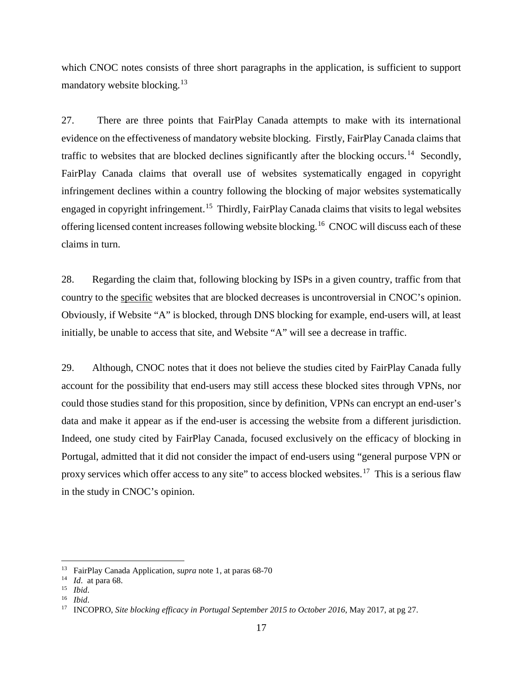which CNOC notes consists of three short paragraphs in the application, is sufficient to support mandatory website blocking.<sup>[13](#page-18-0)</sup>

27. There are three points that FairPlay Canada attempts to make with its international evidence on the effectiveness of mandatory website blocking. Firstly, FairPlay Canada claims that traffic to websites that are blocked declines significantly after the blocking occurs.<sup>[14](#page-18-1)</sup> Secondly, FairPlay Canada claims that overall use of websites systematically engaged in copyright infringement declines within a country following the blocking of major websites systematically engaged in copyright infringement.<sup>[15](#page-18-2)</sup> Thirdly, FairPlay Canada claims that visits to legal websites offering licensed content increases following website blocking.[16](#page-18-3) CNOC will discuss each of these claims in turn.

28. Regarding the claim that, following blocking by ISPs in a given country, traffic from that country to the specific websites that are blocked decreases is uncontroversial in CNOC's opinion. Obviously, if Website "A" is blocked, through DNS blocking for example, end-users will, at least initially, be unable to access that site, and Website "A" will see a decrease in traffic.

29. Although, CNOC notes that it does not believe the studies cited by FairPlay Canada fully account for the possibility that end-users may still access these blocked sites through VPNs, nor could those studies stand for this proposition, since by definition, VPNs can encrypt an end-user's data and make it appear as if the end-user is accessing the website from a different jurisdiction. Indeed, one study cited by FairPlay Canada, focused exclusively on the efficacy of blocking in Portugal, admitted that it did not consider the impact of end-users using "general purpose VPN or proxy services which offer access to any site" to access blocked websites.<sup>[17](#page-18-4)</sup> This is a serious flaw in the study in CNOC's opinion.

<span id="page-18-0"></span> <sup>13</sup> FairPlay Canada Application, *supra* note 1, at paras 68-70

<span id="page-18-1"></span><sup>14</sup> *Id*. at para 68. 15 *Ibid*.

<span id="page-18-2"></span>

<span id="page-18-4"></span><span id="page-18-3"></span><sup>16</sup> *Ibid*.

<sup>17</sup> INCOPRO, *Site blocking efficacy in Portugal September 2015 to October 2016*, May 2017, at pg 27.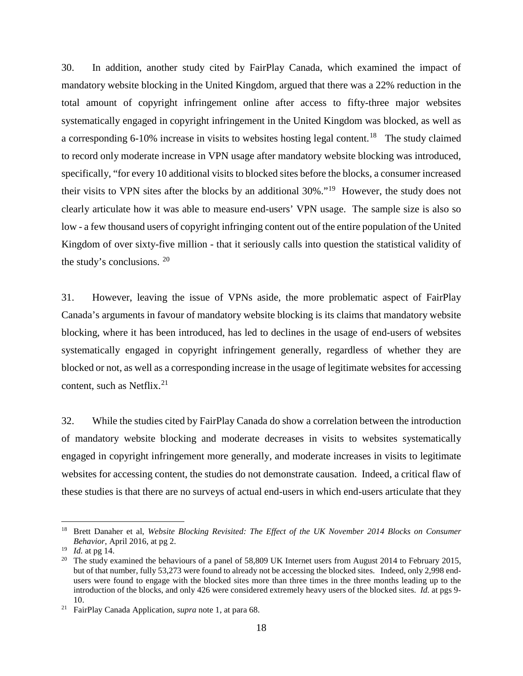30. In addition, another study cited by FairPlay Canada, which examined the impact of mandatory website blocking in the United Kingdom, argued that there was a 22% reduction in the total amount of copyright infringement online after access to fifty-three major websites systematically engaged in copyright infringement in the United Kingdom was blocked, as well as a corresponding 6-10% increase in visits to websites hosting legal content.<sup>[18](#page-19-0)</sup> The study claimed to record only moderate increase in VPN usage after mandatory website blocking was introduced, specifically, "for every 10 additional visits to blocked sites before the blocks, a consumer increased their visits to VPN sites after the blocks by an additional 30%."[19](#page-19-1) However, the study does not clearly articulate how it was able to measure end-users' VPN usage. The sample size is also so low - a few thousand users of copyright infringing content out of the entire population of the United Kingdom of over sixty-five million - that it seriously calls into question the statistical validity of the study's conclusions. [20](#page-19-2)

31. However, leaving the issue of VPNs aside, the more problematic aspect of FairPlay Canada's arguments in favour of mandatory website blocking is its claims that mandatory website blocking, where it has been introduced, has led to declines in the usage of end-users of websites systematically engaged in copyright infringement generally, regardless of whether they are blocked or not, as well as a corresponding increase in the usage of legitimate websites for accessing content, such as Netflix. $2<sup>1</sup>$ 

32. While the studies cited by FairPlay Canada do show a correlation between the introduction of mandatory website blocking and moderate decreases in visits to websites systematically engaged in copyright infringement more generally, and moderate increases in visits to legitimate websites for accessing content, the studies do not demonstrate causation. Indeed, a critical flaw of these studies is that there are no surveys of actual end-users in which end-users articulate that they

<span id="page-19-0"></span><sup>&</sup>lt;sup>18</sup> Brett Danaher et al, *Website Blocking Revisited: The Effect of the UK November 2014 Blocks on Consumer Behavior*, April 2016, at pg 2.<br><sup>19</sup> *Id.* at pg 14.

<span id="page-19-1"></span>

<span id="page-19-2"></span><sup>&</sup>lt;sup>20</sup> The study examined the behaviours of a panel of 58,809 UK Internet users from August 2014 to February 2015, but of that number, fully 53,273 were found to already not be accessing the blocked sites. Indeed, only 2,998 endusers were found to engage with the blocked sites more than three times in the three months leading up to the introduction of the blocks, and only 426 were considered extremely heavy users of the blocked sites. *Id.* at pgs 9- 10. 21 FairPlay Canada Application, *supra* note 1, at para 68.

<span id="page-19-3"></span>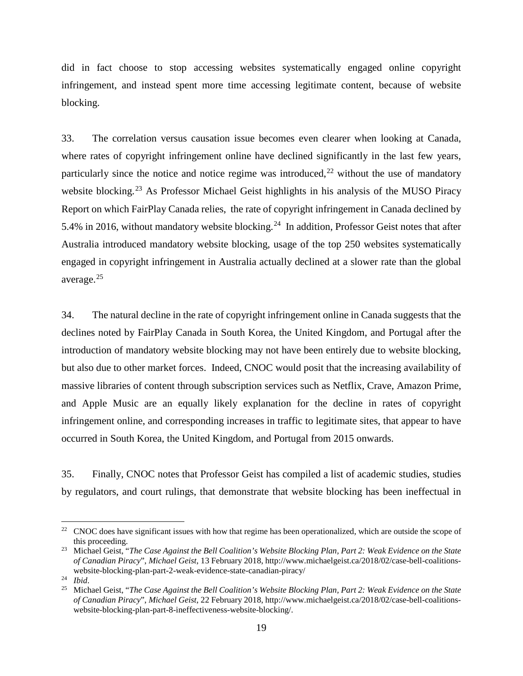did in fact choose to stop accessing websites systematically engaged online copyright infringement, and instead spent more time accessing legitimate content, because of website blocking.

33. The correlation versus causation issue becomes even clearer when looking at Canada, where rates of copyright infringement online have declined significantly in the last few years, particularly since the notice and notice regime was introduced, $22$  without the use of mandatory website blocking.<sup>[23](#page-20-1)</sup> As Professor Michael Geist highlights in his analysis of the MUSO Piracy Report on which FairPlay Canada relies, the rate of copyright infringement in Canada declined by 5.4% in 2016, without mandatory website blocking.<sup>24</sup> In addition, Professor Geist notes that after Australia introduced mandatory website blocking, usage of the top 250 websites systematically engaged in copyright infringement in Australia actually declined at a slower rate than the global average.[25](#page-20-3) 

34. The natural decline in the rate of copyright infringement online in Canada suggests that the declines noted by FairPlay Canada in South Korea, the United Kingdom, and Portugal after the introduction of mandatory website blocking may not have been entirely due to website blocking, but also due to other market forces. Indeed, CNOC would posit that the increasing availability of massive libraries of content through subscription services such as Netflix, Crave, Amazon Prime, and Apple Music are an equally likely explanation for the decline in rates of copyright infringement online, and corresponding increases in traffic to legitimate sites, that appear to have occurred in South Korea, the United Kingdom, and Portugal from 2015 onwards.

35. Finally, CNOC notes that Professor Geist has compiled a list of academic studies, studies by regulators, and court rulings, that demonstrate that website blocking has been ineffectual in

<span id="page-20-0"></span><sup>&</sup>lt;sup>22</sup> CNOC does have significant issues with how that regime has been operationalized, which are outside the scope of this proceeding.

<span id="page-20-1"></span><sup>23</sup> Michael Geist, "*The Case Against the Bell Coalition's Website Blocking Plan, Part 2: Weak Evidence on the State of Canadian Piracy*", *Michael Geist*, 13 February 2018, http://www.michaelgeist.ca/2018/02/case-bell-coalitionswebsite-blocking-plan-part-2-weak-evidence-state-canadian-piracy/

<span id="page-20-2"></span><sup>24</sup> *Ibid*.

<span id="page-20-3"></span><sup>25</sup> Michael Geist, "*The Case Against the Bell Coalition's Website Blocking Plan, Part 2: Weak Evidence on the State of Canadian Piracy*", *Michael Geist*, 22 February 2018, http://www.michaelgeist.ca/2018/02/case-bell-coalitionswebsite-blocking-plan-part-8-ineffectiveness-website-blocking/.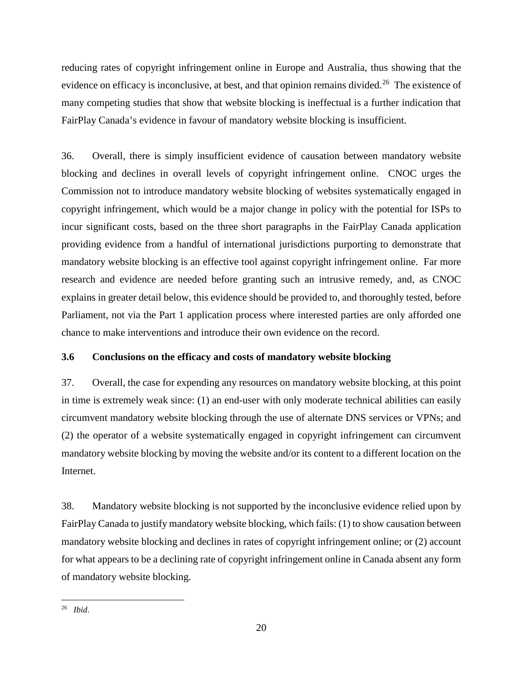reducing rates of copyright infringement online in Europe and Australia, thus showing that the evidence on efficacy is inconclusive, at best, and that opinion remains divided.<sup>[26](#page-21-1)</sup> The existence of many competing studies that show that website blocking is ineffectual is a further indication that FairPlay Canada's evidence in favour of mandatory website blocking is insufficient.

36. Overall, there is simply insufficient evidence of causation between mandatory website blocking and declines in overall levels of copyright infringement online. CNOC urges the Commission not to introduce mandatory website blocking of websites systematically engaged in copyright infringement, which would be a major change in policy with the potential for ISPs to incur significant costs, based on the three short paragraphs in the FairPlay Canada application providing evidence from a handful of international jurisdictions purporting to demonstrate that mandatory website blocking is an effective tool against copyright infringement online. Far more research and evidence are needed before granting such an intrusive remedy, and, as CNOC explains in greater detail below, this evidence should be provided to, and thoroughly tested, before Parliament, not via the Part 1 application process where interested parties are only afforded one chance to make interventions and introduce their own evidence on the record.

## <span id="page-21-0"></span>**3.6 Conclusions on the efficacy and costs of mandatory website blocking**

37. Overall, the case for expending any resources on mandatory website blocking, at this point in time is extremely weak since: (1) an end-user with only moderate technical abilities can easily circumvent mandatory website blocking through the use of alternate DNS services or VPNs; and (2) the operator of a website systematically engaged in copyright infringement can circumvent mandatory website blocking by moving the website and/or its content to a different location on the Internet.

38. Mandatory website blocking is not supported by the inconclusive evidence relied upon by FairPlay Canada to justify mandatory website blocking, which fails: (1) to show causation between mandatory website blocking and declines in rates of copyright infringement online; or (2) account for what appears to be a declining rate of copyright infringement online in Canada absent any form of mandatory website blocking.

<span id="page-21-1"></span> <sup>26</sup> *Ibid*.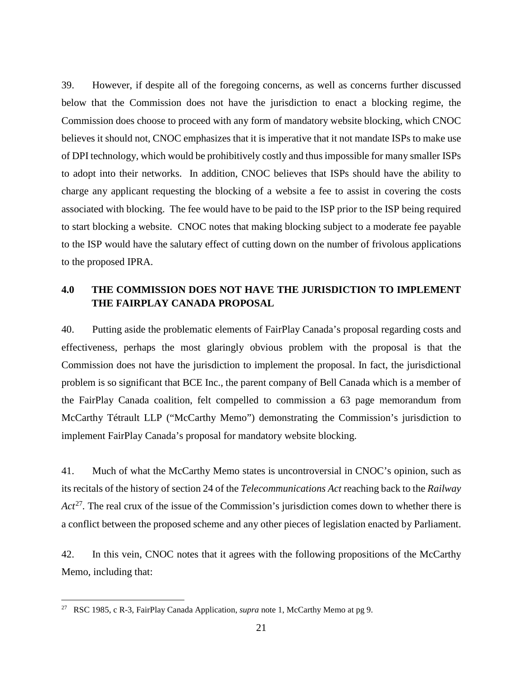39. However, if despite all of the foregoing concerns, as well as concerns further discussed below that the Commission does not have the jurisdiction to enact a blocking regime, the Commission does choose to proceed with any form of mandatory website blocking, which CNOC believes it should not, CNOC emphasizes that it is imperative that it not mandate ISPs to make use of DPI technology, which would be prohibitively costly and thus impossible for many smaller ISPs to adopt into their networks. In addition, CNOC believes that ISPs should have the ability to charge any applicant requesting the blocking of a website a fee to assist in covering the costs associated with blocking. The fee would have to be paid to the ISP prior to the ISP being required to start blocking a website. CNOC notes that making blocking subject to a moderate fee payable to the ISP would have the salutary effect of cutting down on the number of frivolous applications to the proposed IPRA.

## <span id="page-22-0"></span>**4.0 THE COMMISSION DOES NOT HAVE THE JURISDICTION TO IMPLEMENT THE FAIRPLAY CANADA PROPOSAL**

40. Putting aside the problematic elements of FairPlay Canada's proposal regarding costs and effectiveness, perhaps the most glaringly obvious problem with the proposal is that the Commission does not have the jurisdiction to implement the proposal. In fact, the jurisdictional problem is so significant that BCE Inc., the parent company of Bell Canada which is a member of the FairPlay Canada coalition, felt compelled to commission a 63 page memorandum from McCarthy Tétrault LLP ("McCarthy Memo") demonstrating the Commission's jurisdiction to implement FairPlay Canada's proposal for mandatory website blocking.

41. Much of what the McCarthy Memo states is uncontroversial in CNOC's opinion, such as its recitals of the history of section 24 of the *Telecommunications Act* reaching back to the *Railway Act*<sup>[27](#page-22-1)</sup>. The real crux of the issue of the Commission's jurisdiction comes down to whether there is a conflict between the proposed scheme and any other pieces of legislation enacted by Parliament.

42. In this vein, CNOC notes that it agrees with the following propositions of the McCarthy Memo, including that:

<span id="page-22-1"></span> <sup>27</sup> RSC 1985, c R-3, FairPlay Canada Application, *supra* note 1, McCarthy Memo at pg 9.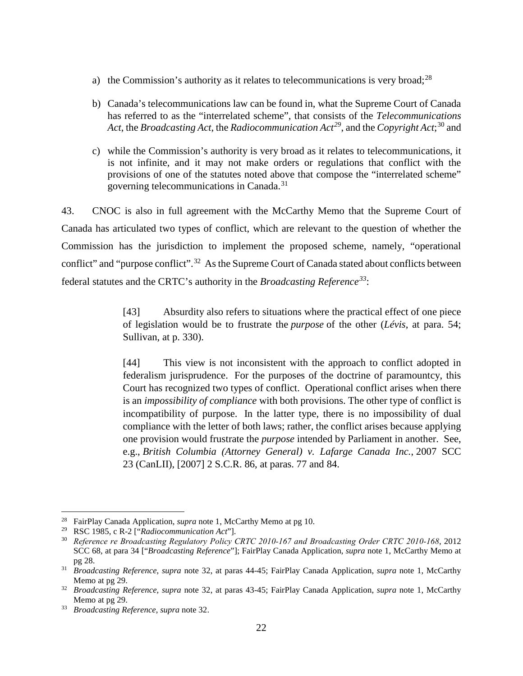- a) the Commission's authority as it relates to telecommunications is very broad; $^{28}$  $^{28}$  $^{28}$
- b) Canada's telecommunications law can be found in, what the Supreme Court of Canada has referred to as the "interrelated scheme", that consists of the *Telecommunications Act*, the *Broadcasting Act*, the *Radiocommunication Act[29](#page-23-1)*, and the *Copyright Act*; [30](#page-23-2) and
- c) while the Commission's authority is very broad as it relates to telecommunications, it is not infinite, and it may not make orders or regulations that conflict with the provisions of one of the statutes noted above that compose the "interrelated scheme" governing telecommunications in Canada.[31](#page-23-3)

43. CNOC is also in full agreement with the McCarthy Memo that the Supreme Court of Canada has articulated two types of conflict, which are relevant to the question of whether the Commission has the jurisdiction to implement the proposed scheme, namely, "operational conflict" and "purpose conflict".<sup>[32](#page-23-4)</sup> As the Supreme Court of Canada stated about conflicts between federal statutes and the CRTC's authority in the *Broadcasting Reference[33](#page-23-5)*:

> [43] Absurdity also refers to situations where the practical effect of one piece of legislation would be to frustrate the *purpose* of the other (*Lévis*, at para. 54; Sullivan, at p. 330).

> [44] This view is not inconsistent with the approach to conflict adopted in federalism jurisprudence. For the purposes of the doctrine of paramountcy, this Court has recognized two types of conflict. Operational conflict arises when there is an *impossibility of compliance* with both provisions. The other type of conflict is incompatibility of purpose. In the latter type, there is no impossibility of dual compliance with the letter of both laws; rather, the conflict arises because applying one provision would frustrate the *purpose* intended by Parliament in another. See, e.g., *British Columbia (Attorney General) v. Lafarge Canada Inc.*, 2007 SCC 23 (CanLII), [2007] 2 S.C.R. 86, at paras. 77 and 84.

<span id="page-23-0"></span><sup>&</sup>lt;sup>28</sup> FairPlay Canada Application, *supra* note 1, McCarthy Memo at pg 10.<br><sup>29</sup> RSC 1985, c R-2 ["Radiocommunication Act"].

<span id="page-23-2"></span><span id="page-23-1"></span><sup>&</sup>lt;sup>30</sup> Reference re Broadcasting Regulatory Policy CRTC 2010-167 and Broadcasting Order CRTC 2010-168, 2012 SCC 68, at para 34 ["*Broadcasting Reference*"]; FairPlay Canada Application, *supra* note 1, McCarthy Memo at pg 28. 31 *Broadcasting Reference*, *supra* note 32, at paras 44-45; FairPlay Canada Application, *supra* note 1, McCarthy

<span id="page-23-3"></span>Memo at pg 29.

<span id="page-23-4"></span><sup>32</sup> *Broadcasting Reference, supra* note 32, at paras 43-45; FairPlay Canada Application, *supra* note 1, McCarthy Memo at pg 29.

<span id="page-23-5"></span><sup>33</sup> *Broadcasting Reference*, *supra* note 32.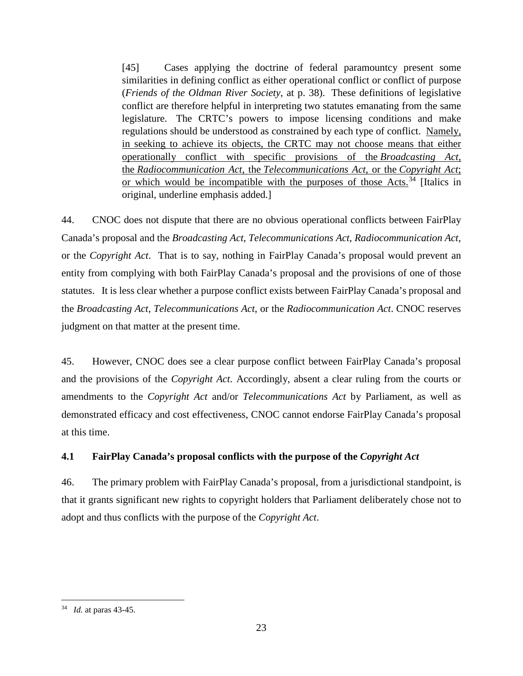[45] Cases applying the doctrine of federal paramountcy present some similarities in defining conflict as either operational conflict or conflict of purpose (*Friends of the Oldman River Society*, at p. 38). These definitions of legislative conflict are therefore helpful in interpreting two statutes emanating from the same legislature. The CRTC's powers to impose licensing conditions and make regulations should be understood as constrained by each type of conflict. Namely, in seeking to achieve its objects, the CRTC may not choose means that either operationally conflict with specific provisions of the *Broadcasting Act*, the *Radiocommunication Act*, the *Telecommunications Act*, or the *Copyright Act*; or which would be incompatible with the purposes of those Acts.<sup>[34](#page-24-1)</sup> [Italics in original, underline emphasis added.]

44. CNOC does not dispute that there are no obvious operational conflicts between FairPlay Canada's proposal and the *Broadcasting Act*, *Telecommunications Act*, *Radiocommunication Act*, or the *Copyright Act*. That is to say, nothing in FairPlay Canada's proposal would prevent an entity from complying with both FairPlay Canada's proposal and the provisions of one of those statutes. It is less clear whether a purpose conflict exists between FairPlay Canada's proposal and the *Broadcasting Act*, *Telecommunications Act*, or the *Radiocommunication Act*. CNOC reserves judgment on that matter at the present time.

45. However, CNOC does see a clear purpose conflict between FairPlay Canada's proposal and the provisions of the *Copyright Act*. Accordingly, absent a clear ruling from the courts or amendments to the *Copyright Act* and/or *Telecommunications Act* by Parliament, as well as demonstrated efficacy and cost effectiveness, CNOC cannot endorse FairPlay Canada's proposal at this time.

## <span id="page-24-0"></span>**4.1 FairPlay Canada's proposal conflicts with the purpose of the** *Copyright Act*

46. The primary problem with FairPlay Canada's proposal, from a jurisdictional standpoint, is that it grants significant new rights to copyright holders that Parliament deliberately chose not to adopt and thus conflicts with the purpose of the *Copyright Act*.

<span id="page-24-1"></span> <sup>34</sup> *Id.* at paras 43-45.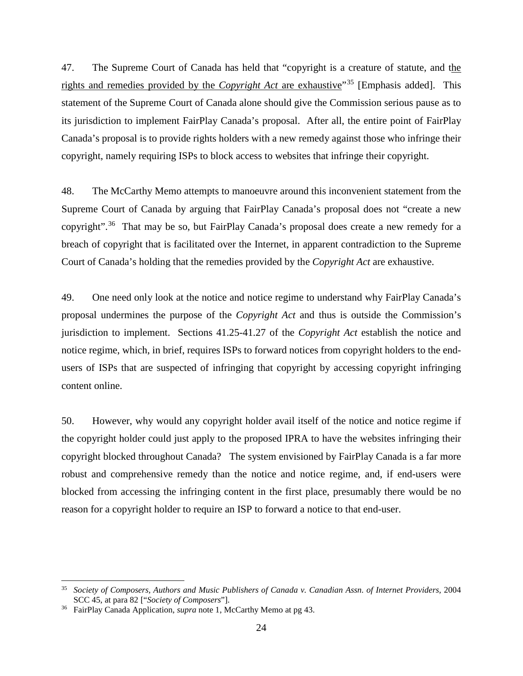47. The Supreme Court of Canada has held that "copyright is a creature of statute, and the rights and remedies provided by the *Copyright Act* are exhaustive"[35](#page-25-0) [Emphasis added]. This statement of the Supreme Court of Canada alone should give the Commission serious pause as to its jurisdiction to implement FairPlay Canada's proposal. After all, the entire point of FairPlay Canada's proposal is to provide rights holders with a new remedy against those who infringe their copyright, namely requiring ISPs to block access to websites that infringe their copyright.

48. The McCarthy Memo attempts to manoeuvre around this inconvenient statement from the Supreme Court of Canada by arguing that FairPlay Canada's proposal does not "create a new copyright".[36](#page-25-1) That may be so, but FairPlay Canada's proposal does create a new remedy for a breach of copyright that is facilitated over the Internet, in apparent contradiction to the Supreme Court of Canada's holding that the remedies provided by the *Copyright Act* are exhaustive.

49. One need only look at the notice and notice regime to understand why FairPlay Canada's proposal undermines the purpose of the *Copyright Act* and thus is outside the Commission's jurisdiction to implement. Sections 41.25-41.27 of the *Copyright Act* establish the notice and notice regime, which, in brief, requires ISPs to forward notices from copyright holders to the endusers of ISPs that are suspected of infringing that copyright by accessing copyright infringing content online.

50. However, why would any copyright holder avail itself of the notice and notice regime if the copyright holder could just apply to the proposed IPRA to have the websites infringing their copyright blocked throughout Canada? The system envisioned by FairPlay Canada is a far more robust and comprehensive remedy than the notice and notice regime, and, if end-users were blocked from accessing the infringing content in the first place, presumably there would be no reason for a copyright holder to require an ISP to forward a notice to that end-user.

<span id="page-25-0"></span> <sup>35</sup> *Society of Composers, Authors and Music Publishers of Canada v. Canadian Assn. of Internet Providers,* <sup>2004</sup> SCC 45, at para 82 ["*Society of Composers*"]. 36 FairPlay Canada Application, *supra* note 1, McCarthy Memo at pg 43.

<span id="page-25-1"></span>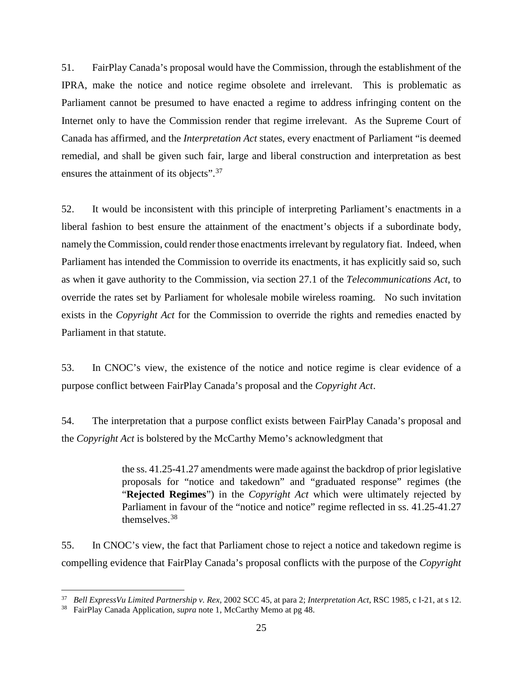51. FairPlay Canada's proposal would have the Commission, through the establishment of the IPRA, make the notice and notice regime obsolete and irrelevant. This is problematic as Parliament cannot be presumed to have enacted a regime to address infringing content on the Internet only to have the Commission render that regime irrelevant. As the Supreme Court of Canada has affirmed, and the *Interpretation Act* states, every enactment of Parliament "is deemed remedial, and shall be given such fair, large and liberal construction and interpretation as best ensures the attainment of its objects".<sup>[37](#page-26-0)</sup>

52. It would be inconsistent with this principle of interpreting Parliament's enactments in a liberal fashion to best ensure the attainment of the enactment's objects if a subordinate body, namely the Commission, could render those enactments irrelevant by regulatory fiat. Indeed, when Parliament has intended the Commission to override its enactments, it has explicitly said so, such as when it gave authority to the Commission, via section 27.1 of the *Telecommunications Act*, to override the rates set by Parliament for wholesale mobile wireless roaming. No such invitation exists in the *Copyright Act* for the Commission to override the rights and remedies enacted by Parliament in that statute.

53. In CNOC's view, the existence of the notice and notice regime is clear evidence of a purpose conflict between FairPlay Canada's proposal and the *Copyright Act*.

54. The interpretation that a purpose conflict exists between FairPlay Canada's proposal and the *Copyright Act* is bolstered by the McCarthy Memo's acknowledgment that

> the ss. 41.25-41.27 amendments were made against the backdrop of prior legislative proposals for "notice and takedown" and "graduated response" regimes (the "**Rejected Regimes**") in the *Copyright Act* which were ultimately rejected by Parliament in favour of the "notice and notice" regime reflected in ss. 41.25-41.27 themselves.[38](#page-26-1)

55. In CNOC's view, the fact that Parliament chose to reject a notice and takedown regime is compelling evidence that FairPlay Canada's proposal conflicts with the purpose of the *Copyright* 

<span id="page-26-0"></span><sup>37</sup> *Bell ExpressVu Limited Partnership v. Rex*, 2002 SCC 45, at para 2; *Interpretation Act*, RSC 1985, c I-21, at s 12. 38 FairPlay Canada Application, *supra* note 1, McCarthy Memo at pg 48.

<span id="page-26-1"></span>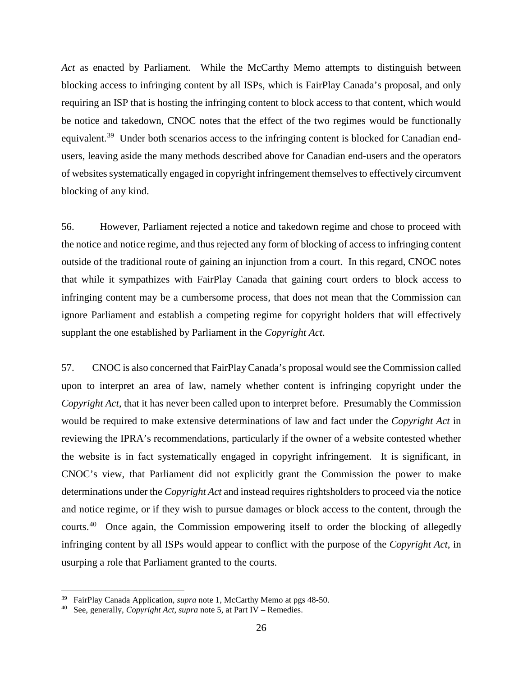*Act* as enacted by Parliament. While the McCarthy Memo attempts to distinguish between blocking access to infringing content by all ISPs, which is FairPlay Canada's proposal, and only requiring an ISP that is hosting the infringing content to block access to that content, which would be notice and takedown, CNOC notes that the effect of the two regimes would be functionally equivalent.<sup>39</sup> Under both scenarios access to the infringing content is blocked for Canadian endusers, leaving aside the many methods described above for Canadian end-users and the operators of websites systematically engaged in copyright infringement themselves to effectively circumvent blocking of any kind.

56. However, Parliament rejected a notice and takedown regime and chose to proceed with the notice and notice regime, and thus rejected any form of blocking of access to infringing content outside of the traditional route of gaining an injunction from a court. In this regard, CNOC notes that while it sympathizes with FairPlay Canada that gaining court orders to block access to infringing content may be a cumbersome process, that does not mean that the Commission can ignore Parliament and establish a competing regime for copyright holders that will effectively supplant the one established by Parliament in the *Copyright Act*.

57. CNOC is also concerned that FairPlay Canada's proposal would see the Commission called upon to interpret an area of law, namely whether content is infringing copyright under the *Copyright Act*, that it has never been called upon to interpret before. Presumably the Commission would be required to make extensive determinations of law and fact under the *Copyright Act* in reviewing the IPRA's recommendations, particularly if the owner of a website contested whether the website is in fact systematically engaged in copyright infringement. It is significant, in CNOC's view, that Parliament did not explicitly grant the Commission the power to make determinations under the *Copyright Act* and instead requires rightsholders to proceed via the notice and notice regime, or if they wish to pursue damages or block access to the content, through the courts.[40](#page-27-1) Once again, the Commission empowering itself to order the blocking of allegedly infringing content by all ISPs would appear to conflict with the purpose of the *Copyright Act*, in usurping a role that Parliament granted to the courts.

<span id="page-27-0"></span><sup>&</sup>lt;sup>39</sup> FairPlay Canada Application, *supra* note 1, McCarthy Memo at pgs 48-50.<br><sup>40</sup> See, generally, *Copyright Act*, *supra* note 5, at Part IV – Remedies.

<span id="page-27-1"></span>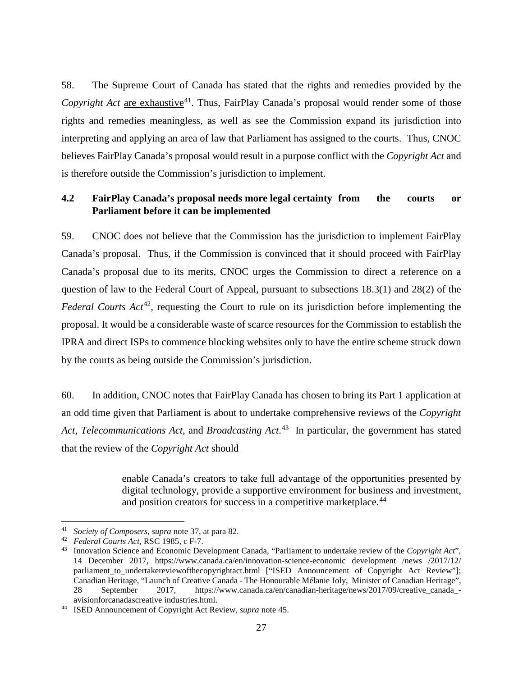58. The Supreme Court of Canada has stated that the rights and remedies provided by the *Copyright Act are exhaustive*<sup>[41](#page-28-1)</sup>. Thus, FairPlay Canada's proposal would render some of those rights and remedies meaningless, as well as see the Commission expand its jurisdiction into interpreting and applying an area of law that Parliament has assigned to the courts. Thus, CNOC believes FairPlay Canada's proposal would result in a purpose conflict with the *Copyright Act* and is therefore outside the Commission's jurisdiction to implement.

## <span id="page-28-0"></span>**4.2 FairPlay Canada's proposal needs more legal certainty from the courts or Parliament before it can be implemented**

59. CNOC does not believe that the Commission has the jurisdiction to implement FairPlay Canada's proposal. Thus, if the Commission is convinced that it should proceed with FairPlay Canada's proposal due to its merits, CNOC urges the Commission to direct a reference on a question of law to the Federal Court of Appeal, pursuant to subsections 18.3(1) and 28(2) of the *Federal Courts Act*<sup>42</sup>, requesting the Court to rule on its jurisdiction before implementing the proposal. It would be a considerable waste of scarce resources for the Commission to establish the IPRA and direct ISPs to commence blocking websites only to have the entire scheme struck down by the courts as being outside the Commission's jurisdiction.

60. In addition, CNOC notes that FairPlay Canada has chosen to bring its Part 1 application at an odd time given that Parliament is about to undertake comprehensive reviews of the *Copyright Act*, *Telecommunications Act*, and *Broadcasting Act*. [43](#page-28-3) In particular, the government has stated that the review of the *Copyright Act* should

> enable Canada's creators to take full advantage of the opportunities presented by digital technology, provide a supportive environment for business and investment, and position creators for success in a competitive marketplace.<sup>[44](#page-28-4)</sup>

<span id="page-28-1"></span><sup>41</sup> *Society of Composers*, *supra* note 37, at para 82. 42 *Federal Courts Act*, RSC 1985, c F-7.

<span id="page-28-3"></span><span id="page-28-2"></span><sup>43</sup> Innovation Science and Economic Development Canada, "Parliament to undertake review of the *Copyright Act*", 14 December 2017, https://www.canada.ca/en/innovation-science-economic development /news /2017/12/ parliament to undertakereviewofthecopyrightact.html ["ISED Announcement of Copyright Act Review"]; Canadian Heritage, "Launch of Creative Canada - The Honourable Mélanie Joly, Minister of Canadian Heritage", 28 September 2017, https://www.canada.ca/en/canadian-heritage/news/2017/09/creative canadaavisionforcanadascreative industries.html.

<span id="page-28-4"></span><sup>44</sup> ISED Announcement of Copyright Act Review, *supra* note 45.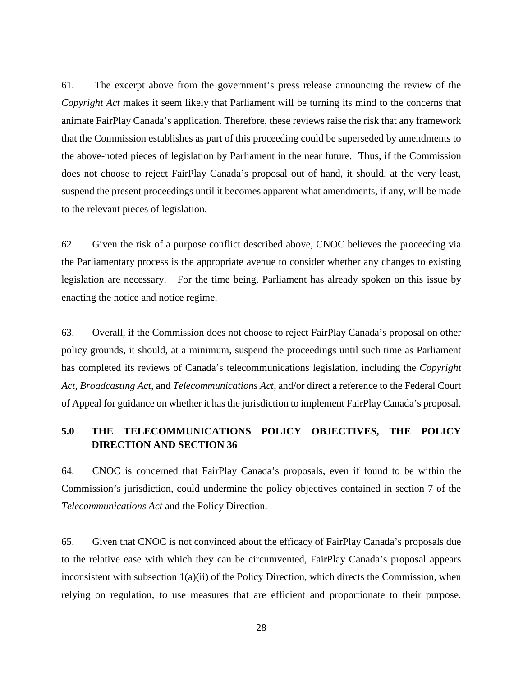61. The excerpt above from the government's press release announcing the review of the *Copyright Act* makes it seem likely that Parliament will be turning its mind to the concerns that animate FairPlay Canada's application. Therefore, these reviews raise the risk that any framework that the Commission establishes as part of this proceeding could be superseded by amendments to the above-noted pieces of legislation by Parliament in the near future. Thus, if the Commission does not choose to reject FairPlay Canada's proposal out of hand, it should, at the very least, suspend the present proceedings until it becomes apparent what amendments, if any, will be made to the relevant pieces of legislation.

62. Given the risk of a purpose conflict described above, CNOC believes the proceeding via the Parliamentary process is the appropriate avenue to consider whether any changes to existing legislation are necessary. For the time being, Parliament has already spoken on this issue by enacting the notice and notice regime.

63. Overall, if the Commission does not choose to reject FairPlay Canada's proposal on other policy grounds, it should, at a minimum, suspend the proceedings until such time as Parliament has completed its reviews of Canada's telecommunications legislation, including the *Copyright Act*, *Broadcasting Act*, and *Telecommunications Act*, and/or direct a reference to the Federal Court of Appeal for guidance on whether it has the jurisdiction to implement FairPlay Canada's proposal.

## <span id="page-29-0"></span>**5.0 THE TELECOMMUNICATIONS POLICY OBJECTIVES, THE POLICY DIRECTION AND SECTION 36**

64. CNOC is concerned that FairPlay Canada's proposals, even if found to be within the Commission's jurisdiction, could undermine the policy objectives contained in section 7 of the *Telecommunications Act* and the Policy Direction.

65. Given that CNOC is not convinced about the efficacy of FairPlay Canada's proposals due to the relative ease with which they can be circumvented, FairPlay Canada's proposal appears inconsistent with subsection 1(a)(ii) of the Policy Direction, which directs the Commission, when relying on regulation, to use measures that are efficient and proportionate to their purpose.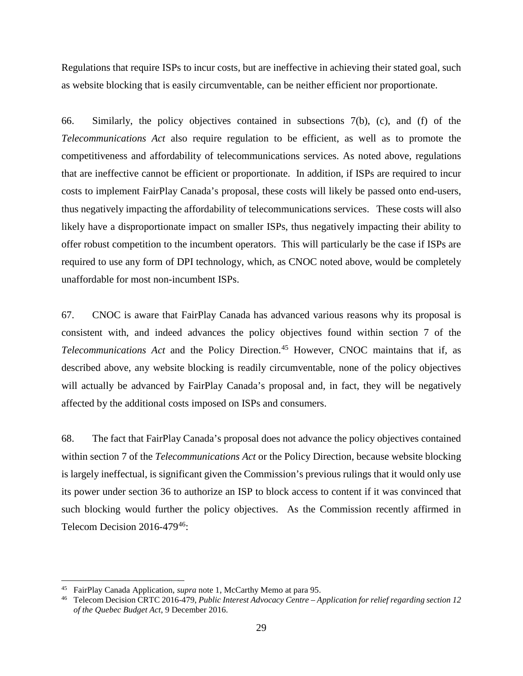Regulations that require ISPs to incur costs, but are ineffective in achieving their stated goal, such as website blocking that is easily circumventable, can be neither efficient nor proportionate.

66. Similarly, the policy objectives contained in subsections 7(b), (c), and (f) of the *Telecommunications Act* also require regulation to be efficient, as well as to promote the competitiveness and affordability of telecommunications services. As noted above, regulations that are ineffective cannot be efficient or proportionate. In addition, if ISPs are required to incur costs to implement FairPlay Canada's proposal, these costs will likely be passed onto end-users, thus negatively impacting the affordability of telecommunications services. These costs will also likely have a disproportionate impact on smaller ISPs, thus negatively impacting their ability to offer robust competition to the incumbent operators. This will particularly be the case if ISPs are required to use any form of DPI technology, which, as CNOC noted above, would be completely unaffordable for most non-incumbent ISPs.

67. CNOC is aware that FairPlay Canada has advanced various reasons why its proposal is consistent with, and indeed advances the policy objectives found within section 7 of the *Telecommunications Act* and the Policy Direction.<sup>[45](#page-30-0)</sup> However, CNOC maintains that if, as described above, any website blocking is readily circumventable, none of the policy objectives will actually be advanced by FairPlay Canada's proposal and, in fact, they will be negatively affected by the additional costs imposed on ISPs and consumers.

68. The fact that FairPlay Canada's proposal does not advance the policy objectives contained within section 7 of the *Telecommunications Act* or the Policy Direction, because website blocking is largely ineffectual, is significant given the Commission's previous rulings that it would only use its power under section 36 to authorize an ISP to block access to content if it was convinced that such blocking would further the policy objectives. As the Commission recently affirmed in Telecom Decision 2016-479<sup>[46](#page-30-1)</sup>:

<span id="page-30-1"></span><span id="page-30-0"></span><sup>45</sup> FairPlay Canada Application, *supra* note 1, McCarthy Memo at para 95. 46 Telecom Decision CRTC 2016-479, *Public Interest Advocacy Centre – Application for relief regarding section 12 of the Quebec Budget Act*, 9 December 2016.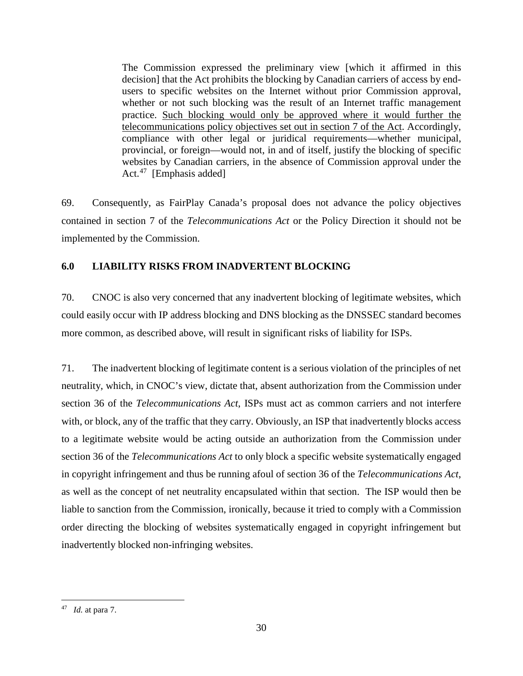The Commission expressed the preliminary view [which it affirmed in this decision] that the Act prohibits the blocking by Canadian carriers of access by endusers to specific websites on the Internet without prior Commission approval, whether or not such blocking was the result of an Internet traffic management practice. Such blocking would only be approved where it would further the telecommunications policy objectives set out in section 7 of the Act. Accordingly, compliance with other legal or juridical requirements—whether municipal, provincial, or foreign—would not, in and of itself, justify the blocking of specific websites by Canadian carriers, in the absence of Commission approval under the Act.<sup>47</sup> [Emphasis added]

69. Consequently, as FairPlay Canada's proposal does not advance the policy objectives contained in section 7 of the *Telecommunications Act* or the Policy Direction it should not be implemented by the Commission.

## <span id="page-31-0"></span>**6.0 LIABILITY RISKS FROM INADVERTENT BLOCKING**

70. CNOC is also very concerned that any inadvertent blocking of legitimate websites, which could easily occur with IP address blocking and DNS blocking as the DNSSEC standard becomes more common, as described above, will result in significant risks of liability for ISPs.

71. The inadvertent blocking of legitimate content is a serious violation of the principles of net neutrality, which, in CNOC's view, dictate that, absent authorization from the Commission under section 36 of the *Telecommunications Act*, ISPs must act as common carriers and not interfere with, or block, any of the traffic that they carry. Obviously, an ISP that inadvertently blocks access to a legitimate website would be acting outside an authorization from the Commission under section 36 of the *Telecommunications Act* to only block a specific website systematically engaged in copyright infringement and thus be running afoul of section 36 of the *Telecommunications Act*, as well as the concept of net neutrality encapsulated within that section. The ISP would then be liable to sanction from the Commission, ironically, because it tried to comply with a Commission order directing the blocking of websites systematically engaged in copyright infringement but inadvertently blocked non-infringing websites.

<span id="page-31-1"></span> <sup>47</sup> *Id.* at para 7.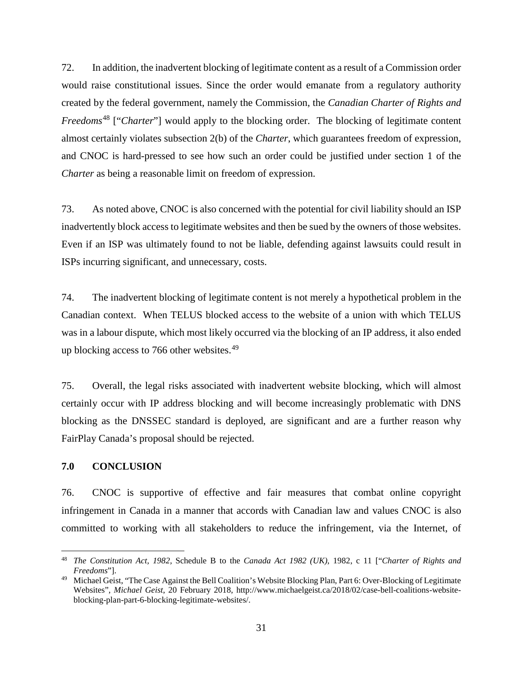72. In addition, the inadvertent blocking of legitimate content as a result of a Commission order would raise constitutional issues. Since the order would emanate from a regulatory authority created by the federal government, namely the Commission, the *Canadian Charter of Rights and Freedoms*[48](#page-32-1) ["*Charter*"] would apply to the blocking order. The blocking of legitimate content almost certainly violates subsection 2(b) of the *Charter*, which guarantees freedom of expression, and CNOC is hard-pressed to see how such an order could be justified under section 1 of the *Charter* as being a reasonable limit on freedom of expression.

73. As noted above, CNOC is also concerned with the potential for civil liability should an ISP inadvertently block access to legitimate websites and then be sued by the owners of those websites. Even if an ISP was ultimately found to not be liable, defending against lawsuits could result in ISPs incurring significant, and unnecessary, costs.

74. The inadvertent blocking of legitimate content is not merely a hypothetical problem in the Canadian context. When TELUS blocked access to the website of a union with which TELUS was in a labour dispute, which most likely occurred via the blocking of an IP address, it also ended up blocking access to 766 other websites.<sup>49</sup>

75. Overall, the legal risks associated with inadvertent website blocking, which will almost certainly occur with IP address blocking and will become increasingly problematic with DNS blocking as the DNSSEC standard is deployed, are significant and are a further reason why FairPlay Canada's proposal should be rejected.

### <span id="page-32-0"></span>**7.0 CONCLUSION**

76. CNOC is supportive of effective and fair measures that combat online copyright infringement in Canada in a manner that accords with Canadian law and values CNOC is also committed to working with all stakeholders to reduce the infringement, via the Internet, of

<span id="page-32-1"></span> <sup>48</sup> *The Constitution Act, 1982,* Schedule B to the *Canada Act 1982 (UK)*, 1982, c 11 ["*Charter of Rights and Freedoms*"].

<span id="page-32-2"></span><sup>&</sup>lt;sup>49</sup> Michael Geist, "The Case Against the Bell Coalition's Website Blocking Plan, Part 6: Over-Blocking of Legitimate Websites", *Michael Geist*, 20 February 2018, http://www.michaelgeist.ca/2018/02/case-bell-coalitions-websiteblocking-plan-part-6-blocking-legitimate-websites/.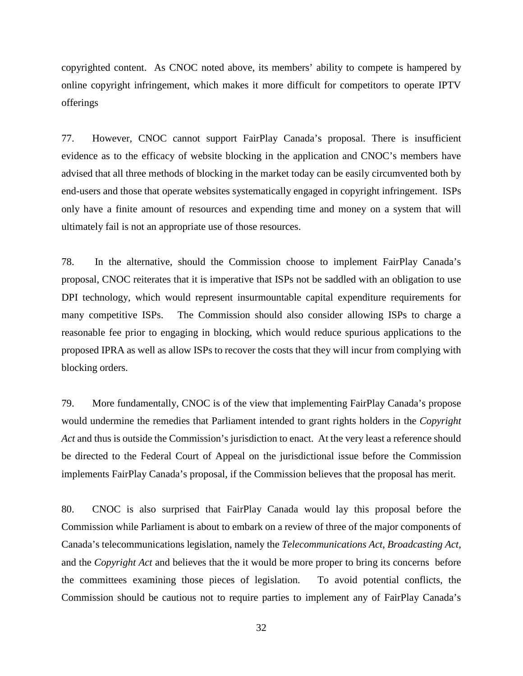copyrighted content. As CNOC noted above, its members' ability to compete is hampered by online copyright infringement, which makes it more difficult for competitors to operate IPTV offerings

77. However, CNOC cannot support FairPlay Canada's proposal. There is insufficient evidence as to the efficacy of website blocking in the application and CNOC's members have advised that all three methods of blocking in the market today can be easily circumvented both by end-users and those that operate websites systematically engaged in copyright infringement. ISPs only have a finite amount of resources and expending time and money on a system that will ultimately fail is not an appropriate use of those resources.

78. In the alternative, should the Commission choose to implement FairPlay Canada's proposal, CNOC reiterates that it is imperative that ISPs not be saddled with an obligation to use DPI technology, which would represent insurmountable capital expenditure requirements for many competitive ISPs. The Commission should also consider allowing ISPs to charge a reasonable fee prior to engaging in blocking, which would reduce spurious applications to the proposed IPRA as well as allow ISPs to recover the costs that they will incur from complying with blocking orders.

79. More fundamentally, CNOC is of the view that implementing FairPlay Canada's propose would undermine the remedies that Parliament intended to grant rights holders in the *Copyright Act* and thus is outside the Commission's jurisdiction to enact. At the very least a reference should be directed to the Federal Court of Appeal on the jurisdictional issue before the Commission implements FairPlay Canada's proposal, if the Commission believes that the proposal has merit.

80. CNOC is also surprised that FairPlay Canada would lay this proposal before the Commission while Parliament is about to embark on a review of three of the major components of Canada's telecommunications legislation, namely the *Telecommunications Act*, *Broadcasting Act*, and the *Copyright Act* and believes that the it would be more proper to bring its concerns before the committees examining those pieces of legislation. To avoid potential conflicts, the Commission should be cautious not to require parties to implement any of FairPlay Canada's